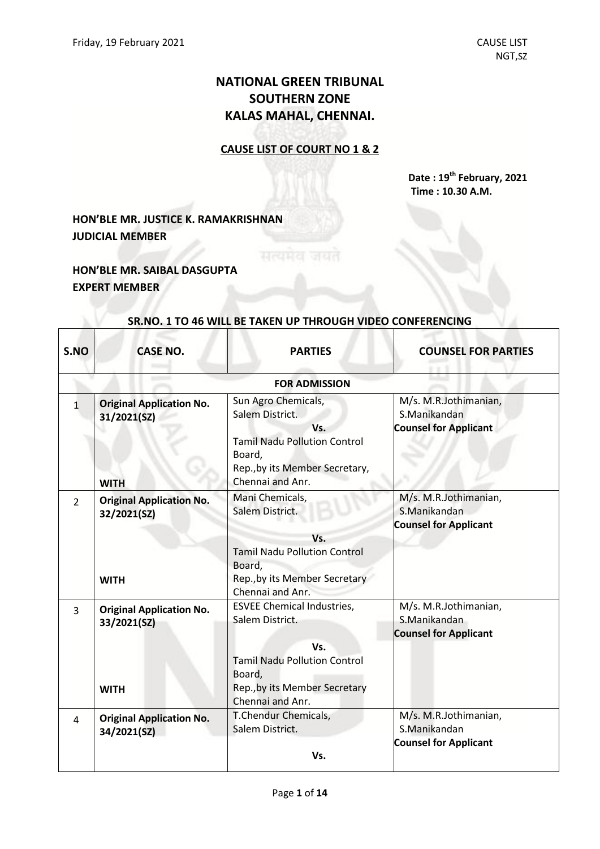# **NATIONAL GREEN TRIBUNAL SOUTHERN ZONE KALAS MAHAL, CHENNAI.**

### **CAUSE LIST OF COURT NO 1 & 2**

**Date : 19 th February, 2021 Time : 10.30 A.M.**

## **HON'BLE MR. JUSTICE K. RAMAKRISHNAN JUDICIAL MEMBER**

**HON'BLE MR. SAIBAL DASGUPTA EXPERT MEMBER**

| S.NO           | <b>CASE NO.</b>                                               | <b>PARTIES</b>                                                                                                                                                    | <b>COUNSEL FOR PARTIES</b>                                            |
|----------------|---------------------------------------------------------------|-------------------------------------------------------------------------------------------------------------------------------------------------------------------|-----------------------------------------------------------------------|
|                |                                                               | <b>FOR ADMISSION</b>                                                                                                                                              |                                                                       |
| $\mathbf{1}$   | <b>Original Application No.</b><br>31/2021(SZ)<br><b>WITH</b> | Sun Agro Chemicals,<br>Salem District.<br>Vs.<br><b>Tamil Nadu Pollution Control</b><br>Board,<br>Rep., by its Member Secretary,<br>Chennai and Anr.              | M/s. M.R.Jothimanian,<br>S.Manikandan<br><b>Counsel for Applicant</b> |
| $\overline{2}$ | <b>Original Application No.</b><br>32/2021(SZ)<br><b>WITH</b> | Mani Chemicals,<br>Salem District.<br>Vs.<br><b>Tamil Nadu Pollution Control</b><br>Board,<br>Rep., by its Member Secretary<br>Chennai and Anr.                   | M/s. M.R.Jothimanian,<br>S.Manikandan<br><b>Counsel for Applicant</b> |
| 3              | <b>Original Application No.</b><br>33/2021(SZ)<br><b>WITH</b> | <b>ESVEE Chemical Industries,</b><br>Salem District.<br>Vs.<br><b>Tamil Nadu Pollution Control</b><br>Board,<br>Rep., by its Member Secretary<br>Chennai and Anr. | M/s. M.R.Jothimanian,<br>S.Manikandan<br><b>Counsel for Applicant</b> |
| 4              | <b>Original Application No.</b><br>34/2021(SZ)                | T.Chendur Chemicals,<br>Salem District.<br>Vs.                                                                                                                    | M/s. M.R.Jothimanian,<br>S.Manikandan<br><b>Counsel for Applicant</b> |

#### **SR.NO. 1 TO 46 WILL BE TAKEN UP THROUGH VIDEO CONFERENCING**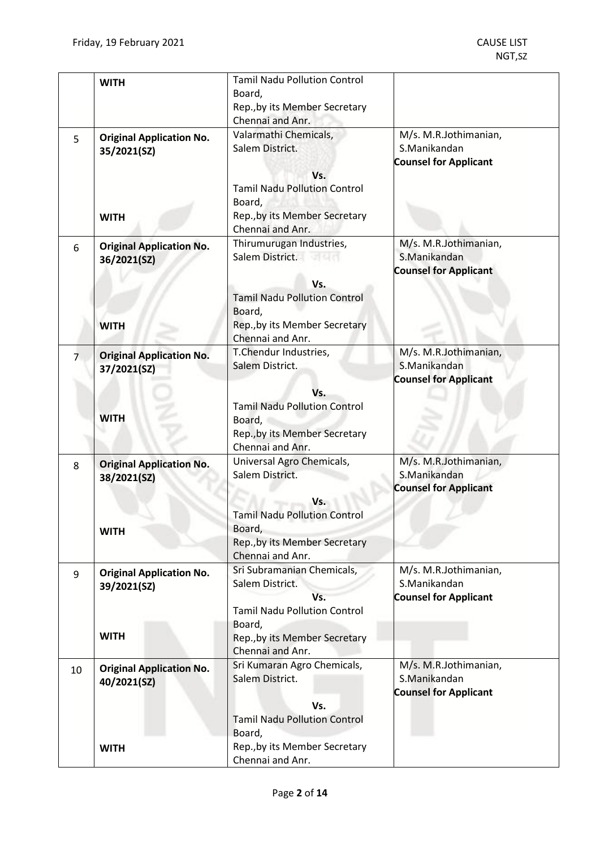|    | <b>WITH</b>                                                   | <b>Tamil Nadu Pollution Control</b><br>Board,<br>Rep., by its Member Secretary<br>Chennai and Anr.                                                         |                                                                       |
|----|---------------------------------------------------------------|------------------------------------------------------------------------------------------------------------------------------------------------------------|-----------------------------------------------------------------------|
| 5  | <b>Original Application No.</b><br>35/2021(SZ)<br><b>WITH</b> | Valarmathi Chemicals,<br>Salem District.<br>Vs.<br><b>Tamil Nadu Pollution Control</b><br>Board,<br>Rep., by its Member Secretary<br>Chennai and Anr.      | M/s. M.R.Jothimanian,<br>S.Manikandan<br><b>Counsel for Applicant</b> |
| 6  | <b>Original Application No.</b><br>36/2021(SZ)<br><b>WITH</b> | Thirumurugan Industries,<br>Salem District.<br>Vs.<br><b>Tamil Nadu Pollution Control</b><br>Board,<br>Rep., by its Member Secretary<br>Chennai and Anr.   | M/s. M.R.Jothimanian,<br>S.Manikandan<br><b>Counsel for Applicant</b> |
| 7  | <b>Original Application No.</b><br>37/2021(SZ)<br><b>WITH</b> | T.Chendur Industries,<br>Salem District.<br>Vs.<br><b>Tamil Nadu Pollution Control</b><br>Board,<br>Rep., by its Member Secretary<br>Chennai and Anr.      | M/s. M.R.Jothimanian,<br>S.Manikandan<br><b>Counsel for Applicant</b> |
| 8  | <b>Original Application No.</b><br>38/2021(SZ)<br><b>WITH</b> | Universal Agro Chemicals,<br>Salem District.<br>Vs.<br><b>Tamil Nadu Pollution Control</b><br>Board,<br>Rep., by its Member Secretary<br>Chennai and Anr.  | M/s. M.R.Jothimanian,<br>S.Manikandan<br><b>Counsel for Applicant</b> |
| 9  | <b>Original Application No.</b><br>39/2021(SZ)<br><b>WITH</b> | Sri Subramanian Chemicals,<br>Salem District.<br>Vs.<br><b>Tamil Nadu Pollution Control</b><br>Board,<br>Rep., by its Member Secretary<br>Chennai and Anr. | M/s. M.R.Jothimanian,<br>S.Manikandan<br><b>Counsel for Applicant</b> |
| 10 | <b>Original Application No.</b><br>40/2021(SZ)                | Sri Kumaran Agro Chemicals,<br>Salem District.<br>Vs.<br><b>Tamil Nadu Pollution Control</b><br>Board,                                                     | M/s. M.R.Jothimanian,<br>S.Manikandan<br><b>Counsel for Applicant</b> |
|    | <b>WITH</b>                                                   | Rep., by its Member Secretary<br>Chennai and Anr.                                                                                                          |                                                                       |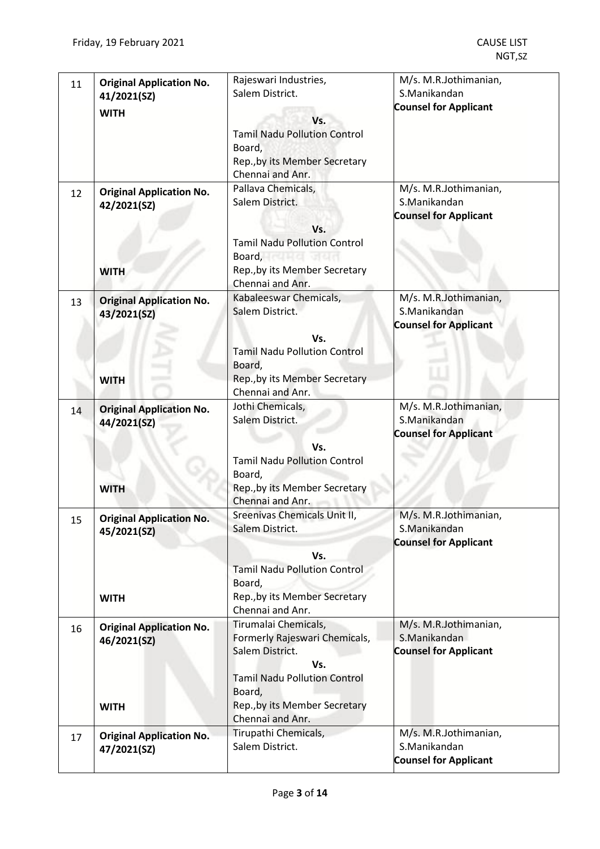| 11 | <b>Original Application No.</b><br>41/2021(SZ)                | Rajeswari Industries,<br>Salem District.                                                                                                                                                        | M/s. M.R.Jothimanian,<br>S.Manikandan                                 |
|----|---------------------------------------------------------------|-------------------------------------------------------------------------------------------------------------------------------------------------------------------------------------------------|-----------------------------------------------------------------------|
|    | <b>WITH</b>                                                   | Vs.<br><b>Tamil Nadu Pollution Control</b><br>Board,<br>Rep., by its Member Secretary<br>Chennai and Anr.                                                                                       | <b>Counsel for Applicant</b>                                          |
| 12 | <b>Original Application No.</b><br>42/2021(SZ)<br><b>WITH</b> | Pallava Chemicals,<br>Salem District.<br>Vs.<br><b>Tamil Nadu Pollution Control</b><br>Board, Contract of the Board, Contract of the Board<br>Rep., by its Member Secretary<br>Chennai and Anr. | M/s. M.R.Jothimanian,<br>S.Manikandan<br><b>Counsel for Applicant</b> |
| 13 | <b>Original Application No.</b><br>43/2021(SZ)                | Kabaleeswar Chemicals,<br>Salem District.<br>Vs.<br><b>Tamil Nadu Pollution Control</b><br>Board,                                                                                               | M/s. M.R.Jothimanian,<br>S.Manikandan<br><b>Counsel for Applicant</b> |
|    | <b>WITH</b>                                                   | Rep., by its Member Secretary<br>Chennai and Anr.                                                                                                                                               |                                                                       |
| 14 | <b>Original Application No.</b><br>44/2021(SZ)<br><b>WITH</b> | Jothi Chemicals,<br>Salem District.<br>Vs.<br><b>Tamil Nadu Pollution Control</b><br>Board,<br>Rep., by its Member Secretary                                                                    | M/s. M.R.Jothimanian,<br>S.Manikandan<br><b>Counsel for Applicant</b> |
| 15 | <b>Original Application No.</b><br>45/2021(SZ)<br><b>WITH</b> | Chennai and Anr.<br>Sreenivas Chemicals Unit II,<br>Salem District.<br>Vs.<br><b>Tamil Nadu Pollution Control</b><br>Board,<br>Rep., by its Member Secretary<br>Chennai and Anr.                | M/s. M.R.Jothimanian,<br>S.Manikandan<br><b>Counsel for Applicant</b> |
| 16 | <b>Original Application No.</b><br>46/2021(SZ)<br><b>WITH</b> | Tirumalai Chemicals,<br>Formerly Rajeswari Chemicals,<br>Salem District.<br>Vs.<br><b>Tamil Nadu Pollution Control</b><br>Board,<br>Rep., by its Member Secretary<br>Chennai and Anr.           | M/s. M.R.Jothimanian,<br>S.Manikandan<br><b>Counsel for Applicant</b> |
| 17 | <b>Original Application No.</b><br>47/2021(SZ)                | Tirupathi Chemicals,<br>Salem District.                                                                                                                                                         | M/s. M.R.Jothimanian,<br>S.Manikandan<br><b>Counsel for Applicant</b> |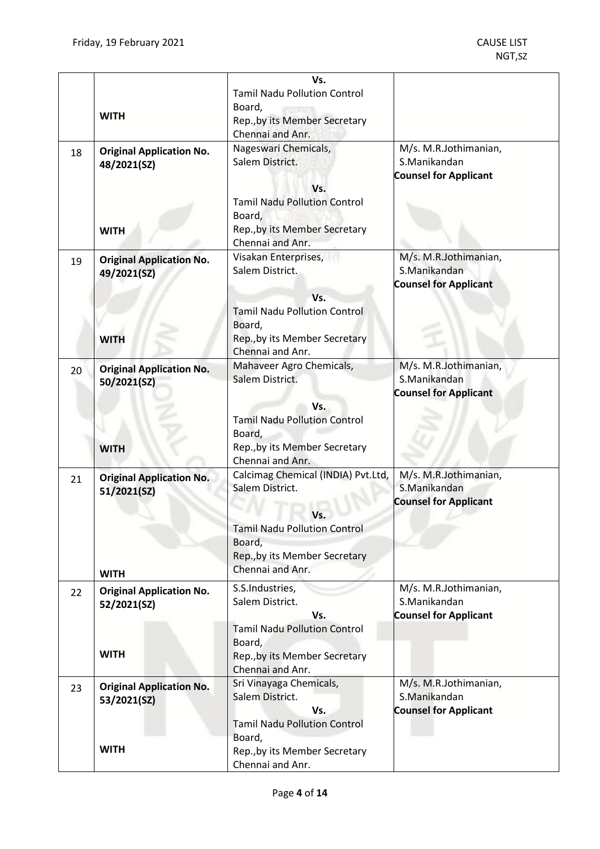|    |                                 | Vs.                                               |                                       |
|----|---------------------------------|---------------------------------------------------|---------------------------------------|
|    |                                 | <b>Tamil Nadu Pollution Control</b>               |                                       |
|    |                                 | Board,                                            |                                       |
|    | <b>WITH</b>                     | Rep., by its Member Secretary<br>Chennai and Anr. |                                       |
| 18 | <b>Original Application No.</b> | Nageswari Chemicals,                              | M/s. M.R.Jothimanian,                 |
|    | 48/2021(SZ)                     | Salem District.                                   | S.Manikandan                          |
|    |                                 |                                                   | <b>Counsel for Applicant</b>          |
|    |                                 | Vs.                                               |                                       |
|    |                                 | <b>Tamil Nadu Pollution Control</b>               |                                       |
|    |                                 | Board,                                            |                                       |
|    | <b>WITH</b>                     | Rep., by its Member Secretary<br>Chennai and Anr. |                                       |
|    |                                 | Visakan Enterprises,                              | M/s. M.R.Jothimanian,                 |
| 19 | <b>Original Application No.</b> | Salem District.                                   | S.Manikandan                          |
|    | 49/2021(SZ)                     |                                                   | <b>Counsel for Applicant</b>          |
|    |                                 | Vs.                                               |                                       |
|    |                                 | <b>Tamil Nadu Pollution Control</b>               |                                       |
|    |                                 | Board,                                            |                                       |
|    | <b>WITH</b>                     | Rep., by its Member Secretary                     |                                       |
|    |                                 | Chennai and Anr.                                  |                                       |
| 20 | <b>Original Application No.</b> | Mahaveer Agro Chemicals,<br>Salem District.       | M/s. M.R.Jothimanian,<br>S.Manikandan |
|    | 50/2021(SZ)                     |                                                   | <b>Counsel for Applicant</b>          |
|    |                                 | Vs.                                               |                                       |
|    |                                 | <b>Tamil Nadu Pollution Control</b>               |                                       |
|    |                                 | Board,                                            |                                       |
|    | <b>WITH</b>                     | Rep., by its Member Secretary                     |                                       |
|    |                                 | Chennai and Anr.                                  |                                       |
| 21 | <b>Original Application No.</b> | Calcimag Chemical (INDIA) Pvt.Ltd,                | M/s. M.R.Jothimanian,                 |
|    | 51/2021(SZ)                     | Salem District.                                   | S.Manikandan                          |
|    |                                 |                                                   | <b>Counsel for Applicant</b>          |
|    |                                 | Vs.<br><b>Tamil Nadu Pollution Control</b>        |                                       |
|    |                                 | Board,                                            |                                       |
|    |                                 | Rep., by its Member Secretary                     |                                       |
|    | <b>WITH</b>                     | Chennai and Anr.                                  |                                       |
| 22 | <b>Original Application No.</b> | S.S.Industries,                                   | M/s. M.R.Jothimanian,                 |
|    | 52/2021(SZ)                     | Salem District.                                   | S.Manikandan                          |
|    |                                 | Vs.                                               | <b>Counsel for Applicant</b>          |
|    |                                 | <b>Tamil Nadu Pollution Control</b>               |                                       |
|    |                                 | Board,                                            |                                       |
|    | <b>WITH</b>                     | Rep., by its Member Secretary                     |                                       |
|    |                                 | Chennai and Anr.<br>Sri Vinayaga Chemicals,       | M/s. M.R.Jothimanian,                 |
| 23 | <b>Original Application No.</b> | Salem District.                                   | S.Manikandan                          |
|    | 53/2021(SZ)                     | Vs.                                               | <b>Counsel for Applicant</b>          |
|    |                                 | <b>Tamil Nadu Pollution Control</b>               |                                       |
|    |                                 | Board,                                            |                                       |
|    | <b>WITH</b>                     | Rep., by its Member Secretary                     |                                       |
|    |                                 | Chennai and Anr.                                  |                                       |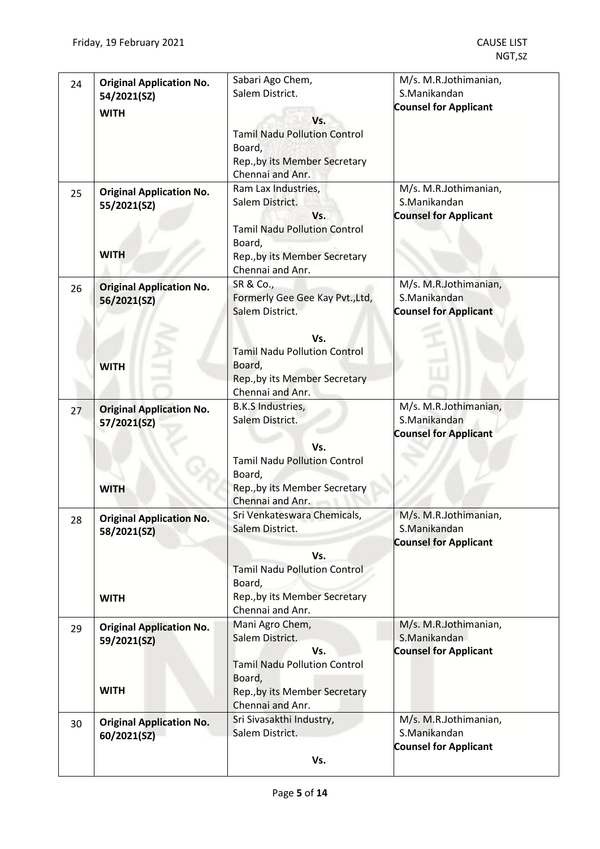| 24 | <b>Original Application No.</b><br>54/2021(SZ)                | Sabari Ago Chem,<br>Salem District.                                                                                                                                          | M/s. M.R.Jothimanian,<br>S.Manikandan<br><b>Counsel for Applicant</b> |
|----|---------------------------------------------------------------|------------------------------------------------------------------------------------------------------------------------------------------------------------------------------|-----------------------------------------------------------------------|
|    | <b>WITH</b>                                                   | Vs.<br><b>Tamil Nadu Pollution Control</b><br>Board,<br>Rep., by its Member Secretary<br>Chennai and Anr.                                                                    |                                                                       |
| 25 | <b>Original Application No.</b><br>55/2021(SZ)<br><b>WITH</b> | Ram Lax Industries,<br>Salem District.<br>Vs.<br><b>Tamil Nadu Pollution Control</b><br>Board,<br>Rep., by its Member Secretary<br>Chennai and Anr.                          | M/s. M.R.Jothimanian,<br>S.Manikandan<br><b>Counsel for Applicant</b> |
| 26 | <b>Original Application No.</b><br>56/2021(SZ)<br><b>WITH</b> | SR & Co.,<br>Formerly Gee Gee Kay Pvt., Ltd,<br>Salem District.<br>Vs.<br><b>Tamil Nadu Pollution Control</b><br>Board,<br>Rep., by its Member Secretary<br>Chennai and Anr. | M/s. M.R.Jothimanian,<br>S.Manikandan<br><b>Counsel for Applicant</b> |
| 27 | <b>Original Application No.</b><br>57/2021(SZ)<br><b>WITH</b> | B.K.S Industries,<br>Salem District.<br>Vs.<br><b>Tamil Nadu Pollution Control</b><br>Board,<br>Rep., by its Member Secretary<br>Chennai and Anr.                            | M/s. M.R.Jothimanian,<br>S.Manikandan<br><b>Counsel for Applicant</b> |
| 28 | <b>Original Application No.</b><br>58/2021(SZ)<br><b>WITH</b> | Sri Venkateswara Chemicals,<br>Salem District.<br>Vs.<br><b>Tamil Nadu Pollution Control</b><br>Board,<br>Rep., by its Member Secretary<br>Chennai and Anr.                  | M/s. M.R.Jothimanian,<br>S.Manikandan<br><b>Counsel for Applicant</b> |
| 29 | <b>Original Application No.</b><br>59/2021(SZ)<br><b>WITH</b> | Mani Agro Chem,<br>Salem District.<br>Vs.<br><b>Tamil Nadu Pollution Control</b><br>Board,<br>Rep., by its Member Secretary<br>Chennai and Anr.                              | M/s. M.R.Jothimanian,<br>S.Manikandan<br><b>Counsel for Applicant</b> |
| 30 | <b>Original Application No.</b><br>60/2021(SZ)                | Sri Sivasakthi Industry,<br>Salem District.<br>Vs.                                                                                                                           | M/s. M.R.Jothimanian,<br>S.Manikandan<br><b>Counsel for Applicant</b> |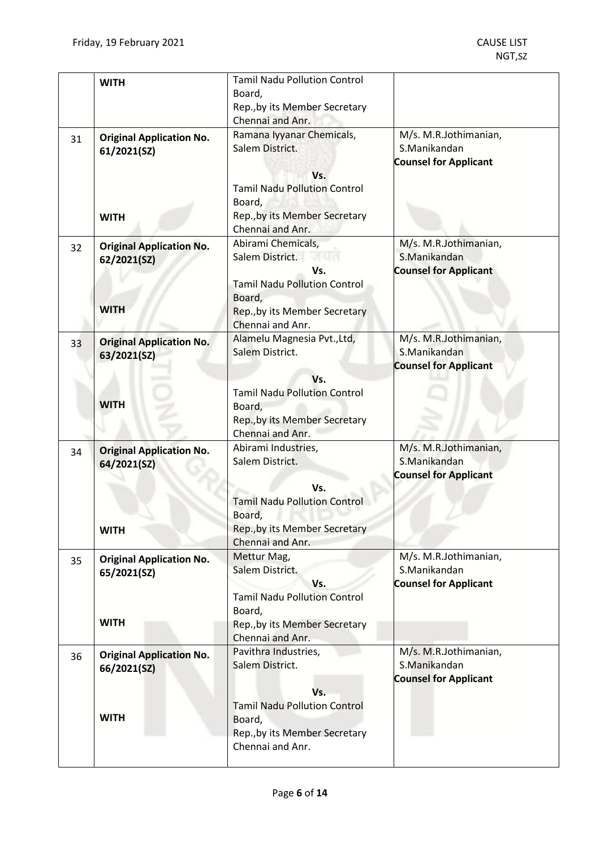|    | <b>WITH</b>                                                   | <b>Tamil Nadu Pollution Control</b><br>Board,<br>Rep., by its Member Secretary<br>Chennai and Anr.                                                          |                                                                       |
|----|---------------------------------------------------------------|-------------------------------------------------------------------------------------------------------------------------------------------------------------|-----------------------------------------------------------------------|
| 31 | <b>Original Application No.</b><br>61/2021(SZ)<br><b>WITH</b> | Ramana Iyyanar Chemicals,<br>Salem District.<br>Vs.<br><b>Tamil Nadu Pollution Control</b><br>Board,<br>Rep., by its Member Secretary<br>Chennai and Anr.   | M/s. M.R.Jothimanian,<br>S.Manikandan<br><b>Counsel for Applicant</b> |
| 32 | <b>Original Application No.</b><br>62/2021(SZ)<br><b>WITH</b> | Abirami Chemicals,<br>Salem District.<br>Vs.<br><b>Tamil Nadu Pollution Control</b><br>Board,<br>Rep., by its Member Secretary<br>Chennai and Anr.          | M/s. M.R.Jothimanian,<br>S.Manikandan<br><b>Counsel for Applicant</b> |
| 33 | <b>Original Application No.</b><br>63/2021(SZ)<br><b>WITH</b> | Alamelu Magnesia Pvt., Ltd,<br>Salem District.<br>Vs.<br><b>Tamil Nadu Pollution Control</b><br>Board,<br>Rep., by its Member Secretary<br>Chennai and Anr. | M/s. M.R.Jothimanian,<br>S.Manikandan<br><b>Counsel for Applicant</b> |
| 34 | <b>Original Application No.</b><br>64/2021(SZ)<br><b>WITH</b> | Abirami Industries,<br>Salem District.<br>Vs.<br><b>Tamil Nadu Pollution Control</b><br>Board,<br>Rep., by its Member Secretary<br>Chennai and Anr.         | M/s. M.R.Jothimanian,<br>S.Manikandan<br><b>Counsel for Applicant</b> |
| 35 | <b>Original Application No.</b><br>65/2021(SZ)<br><b>WITH</b> | Mettur Mag,<br>Salem District.<br>Vs.<br><b>Tamil Nadu Pollution Control</b><br>Board,<br>Rep., by its Member Secretary<br>Chennai and Anr.                 | M/s. M.R.Jothimanian,<br>S.Manikandan<br><b>Counsel for Applicant</b> |
| 36 | <b>Original Application No.</b><br>66/2021(SZ)<br><b>WITH</b> | Pavithra Industries,<br>Salem District.<br>Vs.<br><b>Tamil Nadu Pollution Control</b><br>Board,<br>Rep., by its Member Secretary<br>Chennai and Anr.        | M/s. M.R.Jothimanian,<br>S.Manikandan<br><b>Counsel for Applicant</b> |
|    |                                                               |                                                                                                                                                             |                                                                       |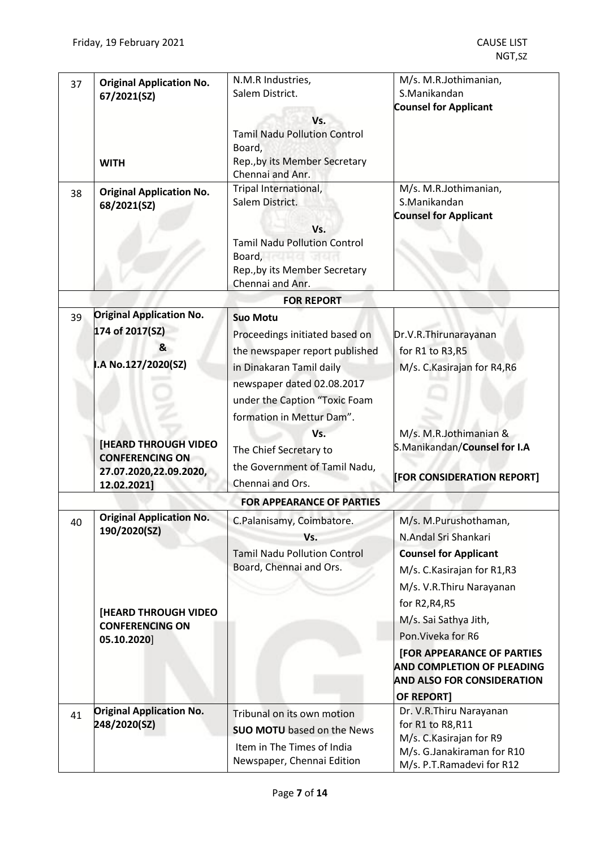| 37 | <b>Original Application No.</b><br>67/2021(SZ)                                                                          | N.M.R Industries,<br>Salem District.                                                                                                                                                                                                                                                                                                                                          | M/s. M.R.Jothimanian,<br>S.Manikandan<br><b>Counsel for Applicant</b>                                                                                                                                                                                                                                                                          |
|----|-------------------------------------------------------------------------------------------------------------------------|-------------------------------------------------------------------------------------------------------------------------------------------------------------------------------------------------------------------------------------------------------------------------------------------------------------------------------------------------------------------------------|------------------------------------------------------------------------------------------------------------------------------------------------------------------------------------------------------------------------------------------------------------------------------------------------------------------------------------------------|
|    | <b>WITH</b>                                                                                                             | Vs.<br><b>Tamil Nadu Pollution Control</b><br>Board,<br>Rep., by its Member Secretary<br>Chennai and Anr.                                                                                                                                                                                                                                                                     |                                                                                                                                                                                                                                                                                                                                                |
| 38 | <b>Original Application No.</b><br>68/2021(SZ)                                                                          | Tripal International,<br>Salem District.<br>Vs.<br><b>Tamil Nadu Pollution Control</b><br>Board, Carl Board, Carl Board, Carl Board, Carl Board, Carl Board, Carl Board, Carl Board, Carl Board, Carl Board, Carl Board, Carl Board, Carl Board, Carl Board, Carl Board, Carl Board, Carl Board, Carl Board, Carl Board,<br>Rep., by its Member Secretary<br>Chennai and Anr. | M/s. M.R.Jothimanian,<br>S.Manikandan<br><b>Counsel for Applicant</b>                                                                                                                                                                                                                                                                          |
|    |                                                                                                                         | <b>FOR REPORT</b>                                                                                                                                                                                                                                                                                                                                                             |                                                                                                                                                                                                                                                                                                                                                |
| 39 | <b>Original Application No.</b><br>174 of 2017(SZ)<br>&<br>I.A No.127/2020(SZ)                                          | <b>Suo Motu</b><br>Proceedings initiated based on<br>the newspaper report published<br>in Dinakaran Tamil daily                                                                                                                                                                                                                                                               | Dr.V.R.Thirunarayanan<br>for R1 to R3, R5<br>M/s. C. Kasirajan for R4, R6                                                                                                                                                                                                                                                                      |
|    | <b>[HEARD THROUGH VIDEO</b><br><b>CONFERENCING ON</b><br>27.07.2020,22.09.2020,<br>12.02.2021]                          | newspaper dated 02.08.2017<br>under the Caption "Toxic Foam<br>formation in Mettur Dam".<br>Vs.<br>The Chief Secretary to<br>the Government of Tamil Nadu,<br>Chennai and Ors.                                                                                                                                                                                                | M/s. M.R.Jothimanian &<br>S.Manikandan/Counsel for I.A<br>[FOR CONSIDERATION REPORT]                                                                                                                                                                                                                                                           |
|    |                                                                                                                         | <b>FOR APPEARANCE OF PARTIES</b>                                                                                                                                                                                                                                                                                                                                              |                                                                                                                                                                                                                                                                                                                                                |
| 40 | <b>Original Application No.</b><br>190/2020(SZ)<br><b>[HEARD THROUGH VIDEO</b><br><b>CONFERENCING ON</b><br>05.10.2020] | C.Palanisamy, Coimbatore.<br>Vs.<br><b>Tamil Nadu Pollution Control</b><br>Board, Chennai and Ors.                                                                                                                                                                                                                                                                            | M/s. M.Purushothaman,<br>N.Andal Sri Shankari<br><b>Counsel for Applicant</b><br>M/s. C. Kasirajan for R1, R3<br>M/s. V.R.Thiru Narayanan<br>for R2, R4, R5<br>M/s. Sai Sathya Jith,<br>Pon. Viveka for R6<br><b>[FOR APPEARANCE OF PARTIES</b><br><b>AND COMPLETION OF PLEADING</b><br><b>AND ALSO FOR CONSIDERATION</b><br><b>OF REPORT]</b> |
| 41 | <b>Original Application No.</b><br>248/2020(SZ)                                                                         | Tribunal on its own motion<br><b>SUO MOTU</b> based on the News<br>Item in The Times of India<br>Newspaper, Chennai Edition                                                                                                                                                                                                                                                   | Dr. V.R.Thiru Narayanan<br>for R1 to R8, R11<br>M/s. C. Kasirajan for R9<br>M/s. G.Janakiraman for R10<br>M/s. P.T.Ramadevi for R12                                                                                                                                                                                                            |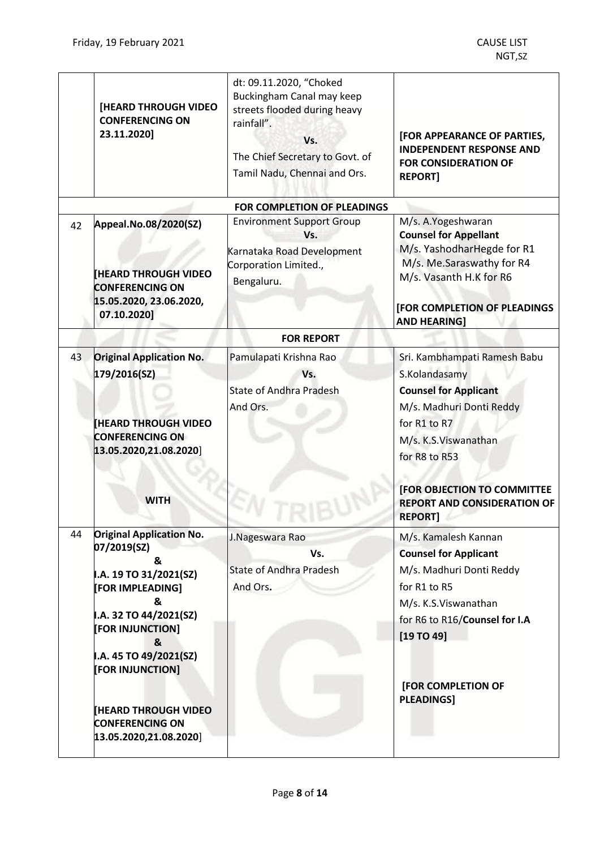|    | <b>[HEARD THROUGH VIDEO</b><br><b>CONFERENCING ON</b><br>23.11.2020]                                                                                                                                                                                                                              | dt: 09.11.2020, "Choked<br>Buckingham Canal may keep<br>streets flooded during heavy<br>rainfall".<br>Vs.<br>The Chief Secretary to Govt. of<br>Tamil Nadu, Chennai and Ors. | [FOR APPEARANCE OF PARTIES,<br><b>INDEPENDENT RESPONSE AND</b><br><b>FOR CONSIDERATION OF</b><br><b>REPORT]</b>                                                                                                            |
|----|---------------------------------------------------------------------------------------------------------------------------------------------------------------------------------------------------------------------------------------------------------------------------------------------------|------------------------------------------------------------------------------------------------------------------------------------------------------------------------------|----------------------------------------------------------------------------------------------------------------------------------------------------------------------------------------------------------------------------|
|    |                                                                                                                                                                                                                                                                                                   | <b>FOR COMPLETION OF PLEADINGS</b>                                                                                                                                           |                                                                                                                                                                                                                            |
| 42 | Appeal.No.08/2020(SZ)<br><b>[HEARD THROUGH VIDEO</b><br><b>CONFERENCING ON</b><br>15.05.2020, 23.06.2020,<br>07.10.2020]                                                                                                                                                                          | <b>Environment Support Group</b><br>Vs.<br>Karnataka Road Development<br>Corporation Limited.,<br>Bengaluru.                                                                 | M/s. A.Yogeshwaran<br><b>Counsel for Appellant</b><br>M/s. YashodharHegde for R1<br>M/s. Me.Saraswathy for R4<br>M/s. Vasanth H.K for R6<br>[FOR COMPLETION OF PLEADINGS<br><b>AND HEARING!</b>                            |
|    |                                                                                                                                                                                                                                                                                                   | <b>FOR REPORT</b>                                                                                                                                                            |                                                                                                                                                                                                                            |
| 43 | <b>Original Application No.</b>                                                                                                                                                                                                                                                                   | Pamulapati Krishna Rao                                                                                                                                                       | Sri. Kambhampati Ramesh Babu                                                                                                                                                                                               |
|    | 179/2016(SZ)<br><b>IHEARD THROUGH VIDEO</b><br><b>CONFERENCING ON</b><br>13.05.2020,21.08.2020]<br><b>WITH</b>                                                                                                                                                                                    | Vs.<br><b>State of Andhra Pradesh</b><br>And Ors.                                                                                                                            | S.Kolandasamy<br><b>Counsel for Applicant</b><br>M/s. Madhuri Donti Reddy<br>for R1 to R7<br>M/s. K.S.Viswanathan<br>for R8 to R53<br>[FOR OBJECTION TO COMMITTEE<br><b>REPORT AND CONSIDERATION OF</b><br><b>REPORT]</b>  |
| 44 | <b>Original Application No.</b><br>07/2019(SZ)<br>&<br>I.A. 19 TO 31/2021(SZ)<br><b>[FOR IMPLEADING]</b><br>&<br>I.A. 32 TO 44/2021(SZ)<br>[FOR INJUNCTION]<br>&<br>I.A. 45 TO 49/2021(SZ)<br>[FOR INJUNCTION]<br><b>THEARD THROUGH VIDEO</b><br><b>CONFERENCING ON</b><br>13.05.2020,21.08.2020] | J.Nageswara Rao<br>Vs.<br><b>State of Andhra Pradesh</b><br>And Ors.                                                                                                         | M/s. Kamalesh Kannan<br><b>Counsel for Applicant</b><br>M/s. Madhuri Donti Reddy<br>for R1 to R5<br>M/s. K.S. Viswanathan<br>for R6 to R16/Counsel for I.A<br>[19 T0 49]<br><b>[FOR COMPLETION OF</b><br><b>PLEADINGS]</b> |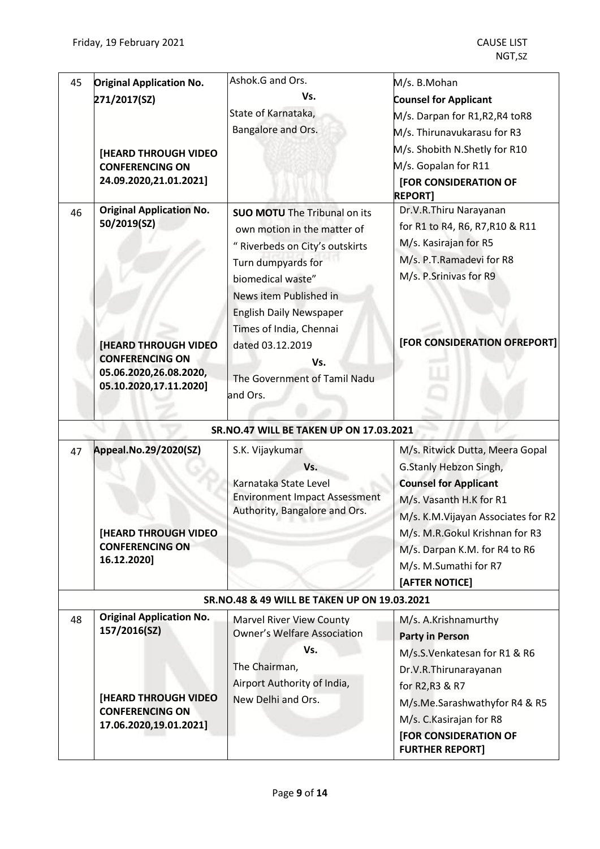| 45 | <b>Original Application No.</b>                | Ashok.G and Ors.                                                      | M/s. B.Mohan                        |
|----|------------------------------------------------|-----------------------------------------------------------------------|-------------------------------------|
|    | 271/2017(SZ)                                   | Vs.                                                                   | <b>Counsel for Applicant</b>        |
|    |                                                | State of Karnataka,                                                   | M/s. Darpan for R1,R2,R4 toR8       |
|    |                                                | Bangalore and Ors.                                                    | M/s. Thirunavukarasu for R3         |
|    |                                                |                                                                       | M/s. Shobith N.Shetly for R10       |
|    | [HEARD THROUGH VIDEO<br><b>CONFERENCING ON</b> |                                                                       | M/s. Gopalan for R11                |
|    | 24.09.2020,21.01.2021]                         |                                                                       | [FOR CONSIDERATION OF               |
|    |                                                |                                                                       | <b>REPORT1</b>                      |
| 46 | <b>Original Application No.</b>                | <b>SUO MOTU</b> The Tribunal on its                                   | Dr.V.R.Thiru Narayanan              |
|    | 50/2019(SZ)                                    | own motion in the matter of                                           | for R1 to R4, R6, R7, R10 & R11     |
|    |                                                | " Riverbeds on City's outskirts                                       | M/s. Kasirajan for R5               |
|    |                                                | Turn dumpyards for                                                    | M/s. P.T.Ramadevi for R8            |
|    |                                                | biomedical waste"                                                     | M/s. P.Srinivas for R9              |
|    |                                                | News item Published in                                                |                                     |
|    |                                                | <b>English Daily Newspaper</b>                                        |                                     |
|    |                                                | Times of India, Chennai                                               |                                     |
|    | <b>[HEARD THROUGH VIDEO</b>                    | dated 03.12.2019                                                      | [FOR CONSIDERATION OFREPORT]        |
|    | <b>CONFERENCING ON</b>                         | Vs.                                                                   |                                     |
|    | 05.06.2020,26.08.2020,                         | The Government of Tamil Nadu                                          |                                     |
|    | 05.10.2020,17.11.2020]                         |                                                                       |                                     |
|    |                                                | and Ors.                                                              |                                     |
|    |                                                | SR.NO.47 WILL BE TAKEN UP ON 17.03.2021                               |                                     |
|    |                                                |                                                                       |                                     |
| 47 | Appeal.No.29/2020(SZ)                          | S.K. Vijaykumar                                                       | M/s. Ritwick Dutta, Meera Gopal     |
|    |                                                | Vs.                                                                   | G.Stanly Hebzon Singh,              |
|    |                                                | Karnataka State Level                                                 | <b>Counsel for Applicant</b>        |
|    |                                                | <b>Environment Impact Assessment</b><br>Authority, Bangalore and Ors. | M/s. Vasanth H.K for R1             |
|    |                                                |                                                                       | M/s. K.M. Vijayan Associates for R2 |
|    | <b>[HEARD THROUGH VIDEO</b>                    |                                                                       | M/s. M.R.Gokul Krishnan for R3      |
|    | <b>CONFERENCING ON</b>                         |                                                                       | M/s. Darpan K.M. for R4 to R6       |
|    | 16.12.2020]                                    |                                                                       | M/s. M.Sumathi for R7               |
|    |                                                |                                                                       | [AFTER NOTICE]                      |
|    |                                                | SR.NO.48 & 49 WILL BE TAKEN UP ON 19.03.2021                          |                                     |
| 48 | <b>Original Application No.</b>                | <b>Marvel River View County</b>                                       | M/s. A.Krishnamurthy                |
|    | 157/2016(SZ)                                   | <b>Owner's Welfare Association</b>                                    | <b>Party in Person</b>              |
|    |                                                | Vs.                                                                   | M/s.S.Venkatesan for R1 & R6        |
|    |                                                | The Chairman,                                                         | Dr.V.R.Thirunarayanan               |
|    |                                                | Airport Authority of India,                                           | for R2, R3 & R7                     |
|    | <b>[HEARD THROUGH VIDEO</b>                    | New Delhi and Ors.                                                    | M/s.Me.Sarashwathyfor R4 & R5       |
|    | <b>CONFERENCING ON</b>                         |                                                                       | M/s. C. Kasirajan for R8            |
|    | 17.06.2020,19.01.2021]                         |                                                                       | [FOR CONSIDERATION OF               |
|    |                                                |                                                                       | <b>FURTHER REPORT]</b>              |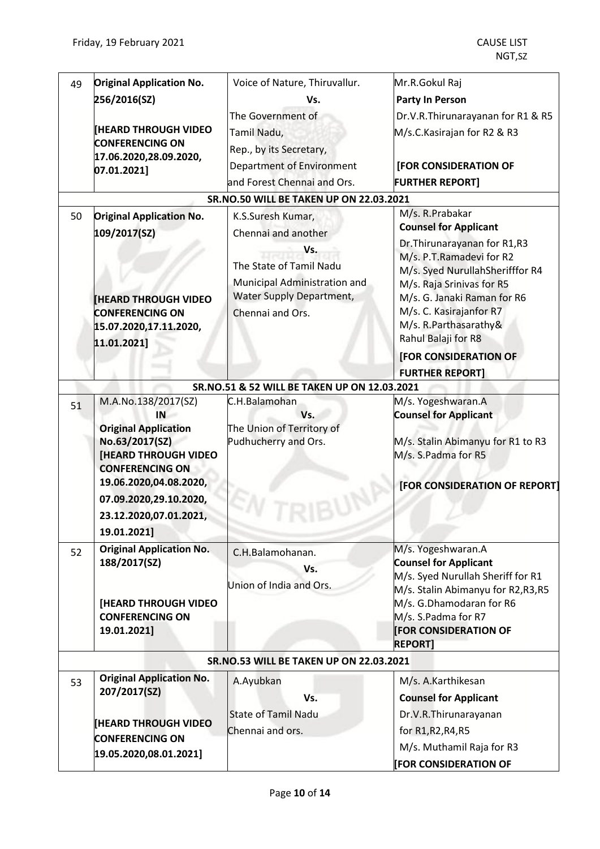| 49 | <b>Original Application No.</b>                | Voice of Nature, Thiruvallur.                  | Mr.R.Gokul Raj                                     |
|----|------------------------------------------------|------------------------------------------------|----------------------------------------------------|
|    | 256/2016(SZ)                                   | Vs.                                            | <b>Party In Person</b>                             |
|    |                                                | The Government of                              | Dr.V.R.Thirunarayanan for R1 & R5                  |
|    | <b>[HEARD THROUGH VIDEO</b>                    | Tamil Nadu,                                    | M/s.C.Kasirajan for R2 & R3                        |
|    | <b>CONFERENCING ON</b>                         | Rep., by its Secretary,                        |                                                    |
|    | 17.06.2020,28.09.2020,                         | Department of Environment                      | [FOR CONSIDERATION OF                              |
|    | 07.01.2021]                                    | and Forest Chennai and Ors.                    | <b>FURTHER REPORT]</b>                             |
|    |                                                |                                                |                                                    |
|    |                                                | <b>SR.NO.50 WILL BE TAKEN UP ON 22.03.2021</b> | M/s. R. Prabakar                                   |
| 50 | <b>Original Application No.</b>                | K.S.Suresh Kumar,                              | <b>Counsel for Applicant</b>                       |
|    | 109/2017(SZ)                                   | Chennai and another                            | Dr. Thirunarayanan for R1, R3                      |
|    |                                                | Vs.                                            | M/s. P.T.Ramadevi for R2                           |
|    |                                                | The State of Tamil Nadu                        | M/s. Syed NurullahSherifffor R4                    |
|    |                                                | Municipal Administration and                   | M/s. Raja Srinivas for R5                          |
|    | <b>HEARD THROUGH VIDEO</b>                     | <b>Water Supply Department,</b>                | M/s. G. Janaki Raman for R6                        |
|    | <b>CONFERENCING ON</b>                         | Chennai and Ors.                               | M/s. C. Kasirajanfor R7                            |
|    | 15.07.2020,17.11.2020,                         |                                                | M/s. R.Parthasarathy&                              |
|    | 11.01.2021]                                    |                                                | Rahul Balaji for R8                                |
|    |                                                |                                                | [FOR CONSIDERATION OF                              |
|    |                                                |                                                | <b>FURTHER REPORT]</b>                             |
|    |                                                | SR.NO.51 & 52 WILL BE TAKEN UP ON 12.03.2021   |                                                    |
| 51 | M.A.No.138/2017(SZ)<br>IN                      | C.H.Balamohan<br>Vs.                           | M/s. Yogeshwaran.A<br><b>Counsel for Applicant</b> |
|    | <b>Original Application</b>                    | The Union of Territory of                      |                                                    |
|    | No.63/2017(SZ)                                 | Pudhucherry and Ors.                           | M/s. Stalin Abimanyu for R1 to R3                  |
|    | <b>[HEARD THROUGH VIDEO</b>                    |                                                | M/s. S.Padma for R5                                |
|    | <b>CONFERENCING ON</b>                         |                                                |                                                    |
|    | 19.06.2020,04.08.2020,                         |                                                | [FOR CONSIDERATION OF REPORT]                      |
|    | 07.09.2020,29.10.2020,                         |                                                |                                                    |
|    | 23.12.2020,07.01.2021,                         |                                                |                                                    |
|    | 19.01.2021]                                    |                                                |                                                    |
| 52 | <b>Original Application No.</b>                | C.H.Balamohanan.                               | M/s. Yogeshwaran.A                                 |
|    | 188/2017(SZ)                                   | Vs.                                            | <b>Counsel for Applicant</b>                       |
|    |                                                | Union of India and Ors.                        | M/s. Syed Nurullah Sheriff for R1                  |
|    |                                                |                                                | M/s. Stalin Abimanyu for R2, R3, R5                |
|    | [HEARD THROUGH VIDEO<br><b>CONFERENCING ON</b> |                                                | M/s. G.Dhamodaran for R6<br>M/s. S.Padma for R7    |
|    | 19.01.2021]                                    |                                                | <b>FOR CONSIDERATION OF</b>                        |
|    |                                                |                                                | <b>REPORT]</b>                                     |
|    |                                                | <b>SR.NO.53 WILL BE TAKEN UP ON 22.03.2021</b> |                                                    |
|    | <b>Original Application No.</b>                |                                                |                                                    |
| 53 | 207/2017(SZ)                                   | A.Ayubkan                                      | M/s. A.Karthikesan                                 |
|    |                                                | Vs.                                            | <b>Counsel for Applicant</b>                       |
|    | <b>[HEARD THROUGH VIDEO</b>                    | <b>State of Tamil Nadu</b>                     | Dr.V.R.Thirunarayanan                              |
|    | <b>CONFERENCING ON</b>                         | Chennai and ors.                               | for R1, R2, R4, R5                                 |
|    | 19.05.2020,08.01.2021]                         |                                                | M/s. Muthamil Raja for R3                          |
|    |                                                |                                                | <b>[FOR CONSIDERATION OF</b>                       |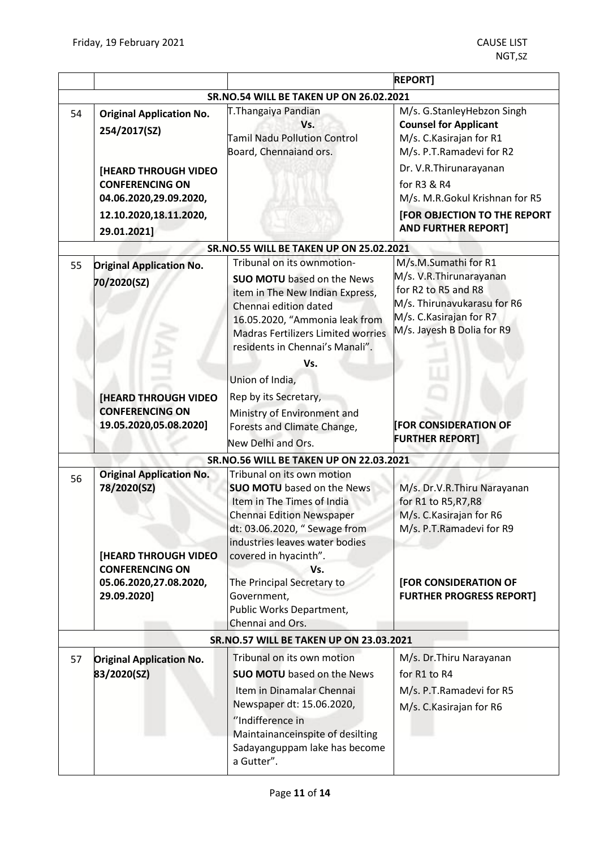|    |                                                                                                                                                                      |                                                                                                                                                                                                                                  | <b>REPORT]</b>                                                                                                                                                                                                                                                      |
|----|----------------------------------------------------------------------------------------------------------------------------------------------------------------------|----------------------------------------------------------------------------------------------------------------------------------------------------------------------------------------------------------------------------------|---------------------------------------------------------------------------------------------------------------------------------------------------------------------------------------------------------------------------------------------------------------------|
|    |                                                                                                                                                                      | SR.NO.54 WILL BE TAKEN UP ON 26.02.2021                                                                                                                                                                                          |                                                                                                                                                                                                                                                                     |
| 54 | <b>Original Application No.</b><br>254/2017(SZ)<br>[HEARD THROUGH VIDEO<br><b>CONFERENCING ON</b><br>04.06.2020,29.09.2020,<br>12.10.2020,18.11.2020,<br>29.01.2021] | T.Thangaiya Pandian<br>Vs.<br><b>Tamil Nadu Pollution Control</b><br>Board, Chennaiand ors.                                                                                                                                      | M/s. G.StanleyHebzon Singh<br><b>Counsel for Applicant</b><br>M/s. C. Kasirajan for R1<br>M/s. P.T.Ramadevi for R2<br>Dr. V.R. Thirunarayanan<br>for R3 & R4<br>M/s. M.R.Gokul Krishnan for R5<br><b>[FOR OBJECTION TO THE REPORT</b><br><b>AND FURTHER REPORT]</b> |
|    |                                                                                                                                                                      | <b>SR.NO.55 WILL BE TAKEN UP ON 25.02.2021</b>                                                                                                                                                                                   |                                                                                                                                                                                                                                                                     |
| 55 | <b>Original Application No.</b><br>70/2020(SZ)                                                                                                                       | Tribunal on its ownmotion-<br><b>SUO MOTU</b> based on the News<br>item in The New Indian Express,<br>Chennai edition dated<br>16.05.2020, "Ammonia leak from<br><b>Madras Fertilizers Limited worries</b>                       | M/s.M.Sumathi for R1<br>M/s. V.R. Thirunarayanan<br>for R2 to R5 and R8<br>M/s. Thirunavukarasu for R6<br>M/s. C. Kasirajan for R7<br>M/s. Jayesh B Dolia for R9                                                                                                    |
|    | <b>[HEARD THROUGH VIDEO</b><br><b>CONFERENCING ON</b><br>19.05.2020,05.08.2020]                                                                                      | residents in Chennai's Manali".<br>Vs.<br>Union of India,<br>Rep by its Secretary,<br>Ministry of Environment and<br>Forests and Climate Change,<br>New Delhi and Ors.                                                           | <b>FOR CONSIDERATION OF</b><br><b>FURTHER REPORT]</b>                                                                                                                                                                                                               |
|    |                                                                                                                                                                      | <b>SR.NO.56 WILL BE TAKEN UP ON 22.03.2021</b>                                                                                                                                                                                   |                                                                                                                                                                                                                                                                     |
| 56 | <b>Original Application No.</b><br>78/2020(SZ)                                                                                                                       | Tribunal on its own motion<br><b>SUO MOTU</b> based on the News<br>Item in The Times of India<br>Chennai Edition Newspaper<br>dt: 03.06.2020, " Sewage from<br>industries leaves water bodies                                    | M/s. Dr.V.R.Thiru Narayanan<br>for R1 to R5, R7, R8<br>M/s. C. Kasirajan for R6<br>M/s. P.T.Ramadevi for R9                                                                                                                                                         |
|    | <b>[HEARD THROUGH VIDEO</b><br><b>CONFERENCING ON</b><br>05.06.2020,27.08.2020,<br>29.09.2020]                                                                       | covered in hyacinth".<br>Vs.<br>The Principal Secretary to<br>Government,<br>Public Works Department,<br>Chennai and Ors.                                                                                                        | [FOR CONSIDERATION OF<br><b>FURTHER PROGRESS REPORT]</b>                                                                                                                                                                                                            |
|    |                                                                                                                                                                      | <b>SR.NO.57 WILL BE TAKEN UP ON 23.03.2021</b>                                                                                                                                                                                   |                                                                                                                                                                                                                                                                     |
| 57 | <b>Original Application No.</b><br>83/2020(SZ)                                                                                                                       | Tribunal on its own motion<br><b>SUO MOTU</b> based on the News<br>Item in Dinamalar Chennai<br>Newspaper dt: 15.06.2020,<br>"Indifference in<br>Maintainanceinspite of desilting<br>Sadayanguppam lake has become<br>a Gutter". | M/s. Dr. Thiru Narayanan<br>for R1 to R4<br>M/s. P.T.Ramadevi for R5<br>M/s. C. Kasirajan for R6                                                                                                                                                                    |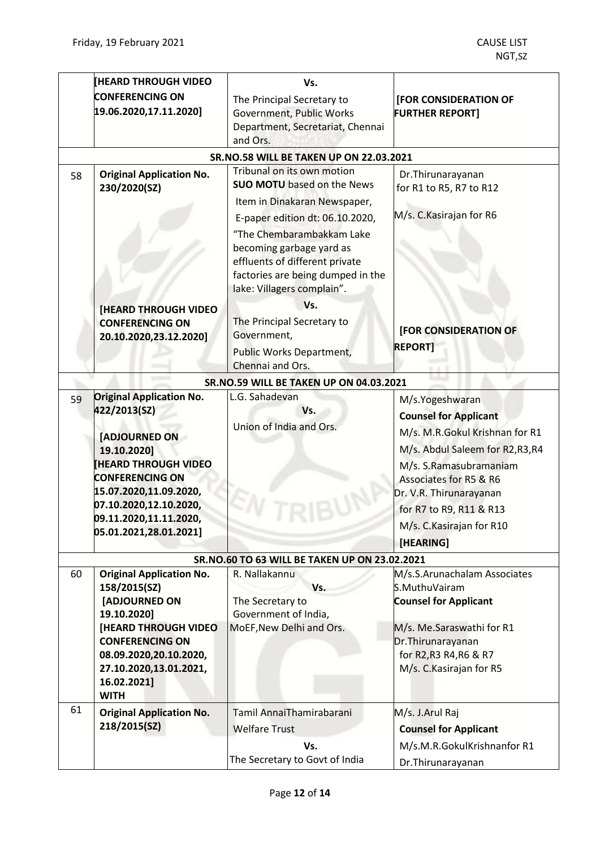|    | <b>HEARD THROUGH VIDEO</b>                            | Vs.                                           |                                                  |
|----|-------------------------------------------------------|-----------------------------------------------|--------------------------------------------------|
|    | <b>CONFERENCING ON</b>                                | The Principal Secretary to                    | [FOR CONSIDERATION OF                            |
|    | 19.06.2020,17.11.2020]                                | Government, Public Works                      | <b>FURTHER REPORT]</b>                           |
|    |                                                       | Department, Secretariat, Chennai              |                                                  |
|    |                                                       | and Ors.                                      |                                                  |
|    |                                                       | SR.NO.58 WILL BE TAKEN UP ON 22.03.2021       |                                                  |
| 58 | <b>Original Application No.</b>                       | Tribunal on its own motion                    | Dr.Thirunarayanan                                |
|    | 230/2020(SZ)                                          | <b>SUO MOTU</b> based on the News             | for R1 to R5, R7 to R12                          |
|    |                                                       | Item in Dinakaran Newspaper,                  |                                                  |
|    |                                                       | E-paper edition dt: 06.10.2020,               | M/s. C. Kasirajan for R6                         |
|    |                                                       | "The Chembarambakkam Lake                     |                                                  |
|    |                                                       | becoming garbage yard as                      |                                                  |
|    |                                                       | effluents of different private                |                                                  |
|    |                                                       | factories are being dumped in the             |                                                  |
|    |                                                       | lake: Villagers complain".                    |                                                  |
|    | <b>[HEARD THROUGH VIDEO</b>                           | Vs.                                           |                                                  |
|    | <b>CONFERENCING ON</b>                                | The Principal Secretary to                    |                                                  |
|    | 20.10.2020,23.12.2020]                                | Government,                                   | [FOR CONSIDERATION OF                            |
|    |                                                       | Public Works Department,                      | <b>REPORT]</b>                                   |
|    |                                                       | Chennai and Ors.                              |                                                  |
|    |                                                       | SR.NO.59 WILL BE TAKEN UP ON 04.03.2021       |                                                  |
| 59 | <b>Original Application No.</b>                       | L.G. Sahadevan                                | M/s.Yogeshwaran                                  |
|    | 422/2013(SZ)                                          | Vs.                                           | <b>Counsel for Applicant</b>                     |
|    |                                                       | Union of India and Ors.                       | M/s. M.R.Gokul Krishnan for R1                   |
|    | [ADJOURNED ON<br>19.10.2020]                          |                                               | M/s. Abdul Saleem for R2,R3,R4                   |
|    | <b>IHEARD THROUGH VIDEO</b>                           |                                               |                                                  |
|    | <b>CONFERENCING ON</b>                                |                                               | M/s. S.Ramasubramaniam<br>Associates for R5 & R6 |
|    | 15.07.2020,11.09.2020,                                |                                               | Dr. V.R. Thirunarayanan                          |
|    | 07.10.2020,12.10.2020,                                |                                               |                                                  |
|    | 09.11.2020,11.11.2020,                                |                                               | for R7 to R9, R11 & R13                          |
|    | 05.01.2021,28.01.2021]                                |                                               | M/s. C. Kasirajan for R10                        |
|    |                                                       |                                               | [HEARING]                                        |
|    |                                                       | SR.NO.60 TO 63 WILL BE TAKEN UP ON 23.02.2021 |                                                  |
| 60 | <b>Original Application No.</b>                       | R. Nallakannu                                 | M/s.S.Arunachalam Associates                     |
|    | 158/2015(SZ)                                          | Vs.                                           | S.MuthuVairam                                    |
|    | [ADJOURNED ON                                         | The Secretary to                              | <b>Counsel for Applicant</b>                     |
|    | 19.10.2020]                                           | Government of India,                          |                                                  |
|    | <b>[HEARD THROUGH VIDEO</b><br><b>CONFERENCING ON</b> | MoEF, New Delhi and Ors.                      | M/s. Me.Saraswathi for R1<br>Dr. Thirunarayanan  |
|    | 08.09.2020,20.10.2020,                                |                                               | for R2, R3 R4, R6 & R7                           |
|    | 27.10.2020,13.01.2021,                                |                                               | M/s. C. Kasirajan for R5                         |
|    | 16.02.2021]                                           |                                               |                                                  |
|    | <b>WITH</b>                                           |                                               |                                                  |
| 61 | <b>Original Application No.</b>                       | Tamil AnnaiThamirabarani                      | M/s. J.Arul Raj                                  |
|    | 218/2015(SZ)                                          | <b>Welfare Trust</b>                          | <b>Counsel for Applicant</b>                     |
|    |                                                       | Vs.                                           | M/s.M.R.GokulKrishnanfor R1                      |
|    |                                                       | The Secretary to Govt of India                |                                                  |
|    |                                                       |                                               | Dr.Thirunarayanan                                |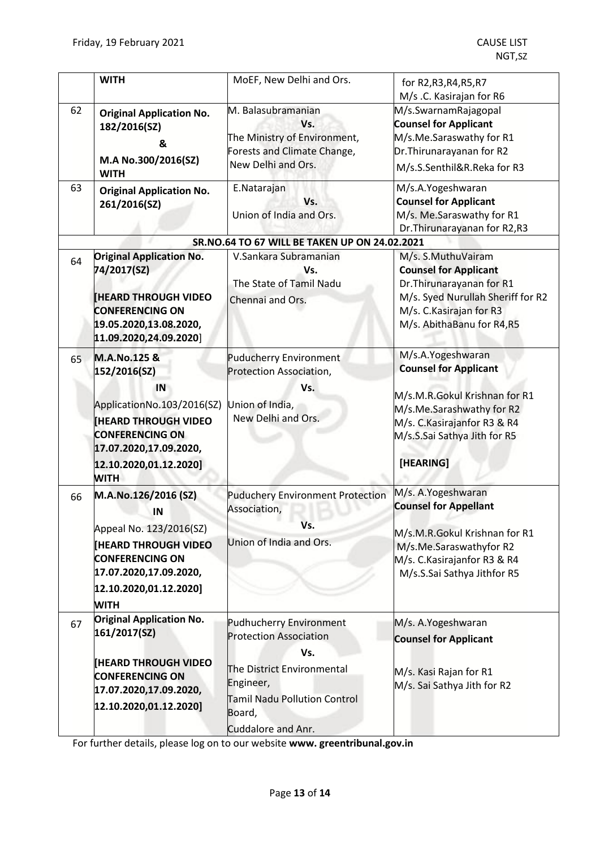|                                               | <b>WITH</b>                                                                                                                                                                                 | MoEF, New Delhi and Ors.                                                                                                                                                          | for R2, R3, R4, R5, R7<br>M/s .C. Kasirajan for R6                                                                                                                                           |
|-----------------------------------------------|---------------------------------------------------------------------------------------------------------------------------------------------------------------------------------------------|-----------------------------------------------------------------------------------------------------------------------------------------------------------------------------------|----------------------------------------------------------------------------------------------------------------------------------------------------------------------------------------------|
| 62                                            | <b>Original Application No.</b><br>182/2016(SZ)<br>&<br>M.A No.300/2016(SZ)<br><b>WITH</b>                                                                                                  | M. Balasubramanian<br>Vs.<br>The Ministry of Environment,<br>Forests and Climate Change,<br>New Delhi and Ors.                                                                    | M/s.SwarnamRajagopal<br><b>Counsel for Applicant</b><br>M/s.Me.Saraswathy for R1<br>Dr. Thirunarayanan for R2<br>M/s.S.Senthil&R.Reka for R3                                                 |
| 63                                            | <b>Original Application No.</b><br>261/2016(SZ)                                                                                                                                             | E.Natarajan<br>Vs.<br>Union of India and Ors.                                                                                                                                     | M/s.A.Yogeshwaran<br><b>Counsel for Applicant</b><br>M/s. Me.Saraswathy for R1<br>Dr. Thirunarayanan for R2, R3                                                                              |
| SR.NO.64 TO 67 WILL BE TAKEN UP ON 24.02.2021 |                                                                                                                                                                                             |                                                                                                                                                                                   |                                                                                                                                                                                              |
| 64                                            | <b>Original Application No.</b><br>74/2017(SZ)<br><b>IHEARD THROUGH VIDEO</b><br><b>CONFERENCING ON</b><br>19.05.2020,13.08.2020,<br>11.09.2020,24.09.2020]                                 | V.Sankara Subramanian<br>Vs.<br>The State of Tamil Nadu<br>Chennai and Ors.                                                                                                       | M/s. S.MuthuVairam<br><b>Counsel for Applicant</b><br>Dr. Thirunarayanan for R1<br>M/s. Syed Nurullah Sheriff for R2<br>M/s. C. Kasirajan for R3<br>M/s. AbithaBanu for R4,R5                |
| 65                                            | M.A.No.125 &<br>152/2016(SZ)<br>IN<br>ApplicationNo.103/2016(SZ)<br><b>HEARD THROUGH VIDEO</b><br><b>CONFERENCING ON</b><br>17.07.2020,17.09.2020,<br>12.10.2020,01.12.2020]<br><b>WITH</b> | <b>Puducherry Environment</b><br>Protection Association,<br>Vs.<br>Union of India,<br>New Delhi and Ors.                                                                          | M/s.A.Yogeshwaran<br><b>Counsel for Applicant</b><br>M/s.M.R.Gokul Krishnan for R1<br>M/s.Me.Sarashwathy for R2<br>M/s. C. Kasirajanfor R3 & R4<br>M/s.S.Sai Sathya Jith for R5<br>[HEARING] |
| 66                                            | M.A.No.126/2016 (SZ)<br>ΙN<br>Appeal No. 123/2016(SZ)<br><b>IHEARD THROUGH VIDEO</b><br><b>CONFERENCING ON</b><br>17.07.2020,17.09.2020,<br>[12.10.2020, 01.12.2020]<br><b>WITH</b>         | <b>Puduchery Environment Protection</b><br>Association,<br>Vs.<br>Union of India and Ors.                                                                                         | M/s. A.Yogeshwaran<br><b>Counsel for Appellant</b><br>M/s.M.R.Gokul Krishnan for R1<br>M/s.Me.Saraswathyfor R2<br>M/s. C.Kasirajanfor R3 & R4<br>M/s.S.Sai Sathya Jithfor R5                 |
| 67                                            | <b>Original Application No.</b><br>161/2017(SZ)<br><b>[HEARD THROUGH VIDEO</b><br><b>CONFERENCING ON</b><br>17.07.2020,17.09.2020,<br>12.10.2020,01.12.2020]                                | <b>Pudhucherry Environment</b><br><b>Protection Association</b><br>Vs.<br>The District Environmental<br>Engineer,<br>Tamil Nadu Pollution Control<br>Board,<br>Cuddalore and Anr. | M/s. A.Yogeshwaran<br><b>Counsel for Applicant</b><br>M/s. Kasi Rajan for R1<br>M/s. Sai Sathya Jith for R2                                                                                  |

For further details, please log on to our website **www. greentribunal.gov.in**